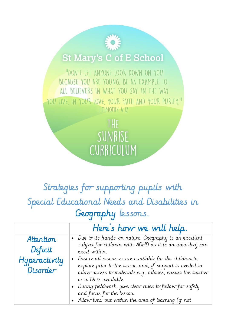## **St Mary's C of E School**

"DON'T LET ANYONE LOOK DOWN ON YOU BECAUSE YOU ARE YOUNG. BE AN EXAMPLE TO ALL BELIEVERS IN WHAT YOU SAY, IN THE WAY YOU LIVE IN YOUR LOVE YOUR FAITH AND YOUR PURITY." I TIMOTHY 4:12

> THE SUNRISE CURRICULUM

## Strategies for supporting pupils with Special Educational Needs and Disabilities in Geography lessons.

|                                                   | Here's how we will help.                                                                                                                                                                                                                                                                                                                                                                                                                                                                              |
|---------------------------------------------------|-------------------------------------------------------------------------------------------------------------------------------------------------------------------------------------------------------------------------------------------------------------------------------------------------------------------------------------------------------------------------------------------------------------------------------------------------------------------------------------------------------|
| Attention<br>Deficit<br>Hyperactivity<br>Disorder | . Due to its hands-on nature, Geography is an excellent<br>subject for children with ADHD as it is an area they can<br>excel within.<br>• Ensure all resources are available for the children to<br>explore prior to the lesson and, if support is needed to<br>allow access to materials e.g. atlases, ensure the teacher<br>or a TA is available.<br>• During fieldwork, give clear rules to follow for safety<br>and focus for the lesson.<br>• Allow time-out within the area of learning (if not |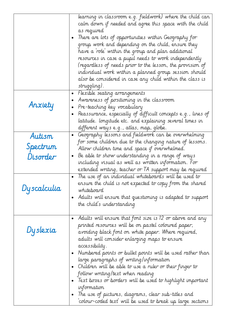|             | learning in classroom e.g. fieldwork) where the child can<br>calm down if needed and agree this space with the child<br>as required<br>There are lots of opportunities within Geography for<br>group work and depending on the child, ensure they<br>have a 'role' within the group and plan additional<br>resources in case a pupil needs to work independently<br>(regardless of needs prior to the lesson, the provision of<br>individual work within a planned group session should<br>also be considered in case any child within the class is<br>struggling). |
|-------------|---------------------------------------------------------------------------------------------------------------------------------------------------------------------------------------------------------------------------------------------------------------------------------------------------------------------------------------------------------------------------------------------------------------------------------------------------------------------------------------------------------------------------------------------------------------------|
| Anxiety     | Hexible seating arrangements<br>Awareness of positioning in the classroom<br>Pre-teaching key vocabulary<br>Reassurance, especially of difficult concepts e.g., lines of<br>latitude. longitude etc. and explaining several times in<br>different ways e.g., atlas, map, globe.                                                                                                                                                                                                                                                                                     |
| Autism      | Geography lessons and fieldwork can be overwhelming<br>$\bullet$                                                                                                                                                                                                                                                                                                                                                                                                                                                                                                    |
| Spectrum    | for some children due to the changing nature of lessons.                                                                                                                                                                                                                                                                                                                                                                                                                                                                                                            |
| Disorder    | Allow children time and space if overwhelmed.<br>Be able to show understanding in a range of ways                                                                                                                                                                                                                                                                                                                                                                                                                                                                   |
|             | including visual as well as written information. For                                                                                                                                                                                                                                                                                                                                                                                                                                                                                                                |
|             | extended writing, teacher or IA support may be required                                                                                                                                                                                                                                                                                                                                                                                                                                                                                                             |
| Dyscalculia | The use of an individual whiteboards will be used to<br>ensure the child is not expected to copy from the shared<br>whiteboard<br>Adults will ensure that questioning is adapted to support<br>$\bullet$<br>the child's understanding                                                                                                                                                                                                                                                                                                                               |
|             | Adults will ensure that font size is 12 or above and any<br>$\bullet$                                                                                                                                                                                                                                                                                                                                                                                                                                                                                               |
| Dyslexia    | printed resources will be on pastel coloured paper,<br>avoiding black font on white paper. Where required,<br>adults will consider enlarging maps to ensure<br>accessibility.<br>• Numbered points or bullet points will be used rather than $\;$<br>large paragraphs of writing/information<br>Children will be able to use a ruler or their finger to<br>$\bullet$                                                                                                                                                                                                |
|             | follow writing/text when reading                                                                                                                                                                                                                                                                                                                                                                                                                                                                                                                                    |
|             | Text boxes or borders will be used to highlight important                                                                                                                                                                                                                                                                                                                                                                                                                                                                                                           |
|             | information<br>The use of pictures, diagrams, clear sub-titles and                                                                                                                                                                                                                                                                                                                                                                                                                                                                                                  |
|             | `colour-coded text' will be used to break up large sections                                                                                                                                                                                                                                                                                                                                                                                                                                                                                                         |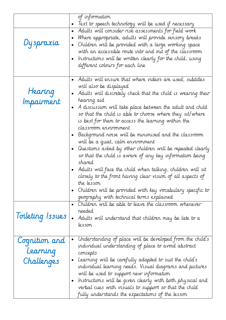|                                         | of information<br>Text to speech technology will be used if necessary                                                                                                                                                                                                                                                                                                                                                                                                                                                                                                                                                                                                                                                                                                                                                                                                    |
|-----------------------------------------|--------------------------------------------------------------------------------------------------------------------------------------------------------------------------------------------------------------------------------------------------------------------------------------------------------------------------------------------------------------------------------------------------------------------------------------------------------------------------------------------------------------------------------------------------------------------------------------------------------------------------------------------------------------------------------------------------------------------------------------------------------------------------------------------------------------------------------------------------------------------------|
| Dyspraxia                               | Adults will consider risk assessments for field work<br>$\bullet$<br>Where appropriate, adults will provide sensory breaks<br>Children will be provided with a large working space<br>$\bullet$<br>with an accessible route into and out of the classroom<br>Instructions will be written clearly for the child, using<br>different colours for each line                                                                                                                                                                                                                                                                                                                                                                                                                                                                                                                |
| Hearing<br>Impairment                   | Adults will ensure that where videos are used, subtitles<br>will also be displayed<br>Adults will discretely check that the child is wearing their<br>hearing aid<br>A discussion will take place between the adult and child<br>so that the child is able to choose where they sit/where<br>is best for them to access the learning within the<br>classroom ervironment<br>Background roise will be minimised and the classroom<br>will be a quiet, calm environment<br>Questions asked by other children will be repeated clearly<br>$\bullet$<br>so that the child is aware of any key information being<br>shared<br>Adults will face the child when talking, children will sit<br>closely to the front having clear vision of all aspects of<br>the lesson<br>Children will be provided with key vocabulary specific to<br>geography with technical terms explained |
| Toileting Issues                        | Children will be able to leave the classroom whenever<br>reeded<br>Adults will understand that children may be late to a<br>lesson                                                                                                                                                                                                                                                                                                                                                                                                                                                                                                                                                                                                                                                                                                                                       |
| Cognition and<br>Learning<br>Challenges | Understanding of place will be developed from the child's<br>٠<br>individual understanding of place to avoid abstract<br>concepts<br>Learning will be carefully adapted to suit the child's<br>$\bullet$<br>individual learning needs. Visual diagrams and pictures<br>will be used to support new information<br>Instructions will be given clearly with both physical and<br>verbal cues with visuals to support so that the child<br>fully understands the expectations of the lesson                                                                                                                                                                                                                                                                                                                                                                                 |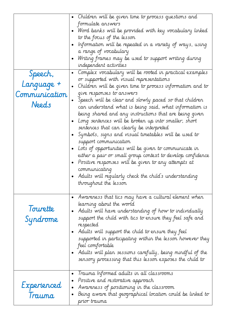| Speech,<br>Language +<br>Communication<br>Needs | Children will be given time to process questions and<br>$\bullet$<br>formulate answers<br>Word banks will be provided with key vocabulary linked<br>to the focus of the lesson<br>Information will be repeated in a variety of ways, using<br>$\bullet$<br>a range of vocabulary<br>Writing frames may be used to support writing during<br>$\bullet$<br>independent activities<br>Complex vocabulary will be rooted in practical examples<br>$\bullet$<br>or supported with visual representations<br>Children will be given time to process information and to<br>$\bullet$<br>give responses to answers<br>Speech will be clear and slowly paced so that children<br>$\bullet$<br>can understand what is being said, what information is<br>being shared and any instructions that are being given<br>Long sentences will be broken up into smaller, short<br>$\bullet$<br>sentences that can clearly be interpreted<br>Symbols, signs and visual timetables will be used to<br>$\bullet$<br>support communication<br>Lots of opportunities will be given to communicate in<br>$\bullet$<br>either a pair or small group context to develop confidence<br>Positive responses will be given to any attempts at<br>communicating<br>Adults will regularly check the child's understanding<br>throughout the lesson |
|-------------------------------------------------|---------------------------------------------------------------------------------------------------------------------------------------------------------------------------------------------------------------------------------------------------------------------------------------------------------------------------------------------------------------------------------------------------------------------------------------------------------------------------------------------------------------------------------------------------------------------------------------------------------------------------------------------------------------------------------------------------------------------------------------------------------------------------------------------------------------------------------------------------------------------------------------------------------------------------------------------------------------------------------------------------------------------------------------------------------------------------------------------------------------------------------------------------------------------------------------------------------------------------------------------------------------------------------------------------------------------|
| Tourette<br>Syndrome                            | Awareness that tics may have a cultural element when<br>$\bullet$<br>learning about the world<br>Adults will have understanding of how to individually<br>$\bullet$<br>support the child with tics to ensure they feel safe and<br>respected<br>Adults will support the child to ensure they feel<br>$\bullet$<br>supported in participating within the lesson however they<br>feel comfortable<br>$\bullet$ $\,$ Adults will plan sessions carefully, being mindful of the<br>sensory processing that this lesson exposes the child to<br>Trauma Informed adults in all classrooms<br>$\bullet$                                                                                                                                                                                                                                                                                                                                                                                                                                                                                                                                                                                                                                                                                                                    |
| Experienced<br>Trauma                           | Positive and restorative approach<br>$\bullet$<br>Awareness of positioning in the classroom<br>$\bullet$<br>Being aware that geographical location could be linked to<br>$\bullet$<br>prior trauma                                                                                                                                                                                                                                                                                                                                                                                                                                                                                                                                                                                                                                                                                                                                                                                                                                                                                                                                                                                                                                                                                                                  |